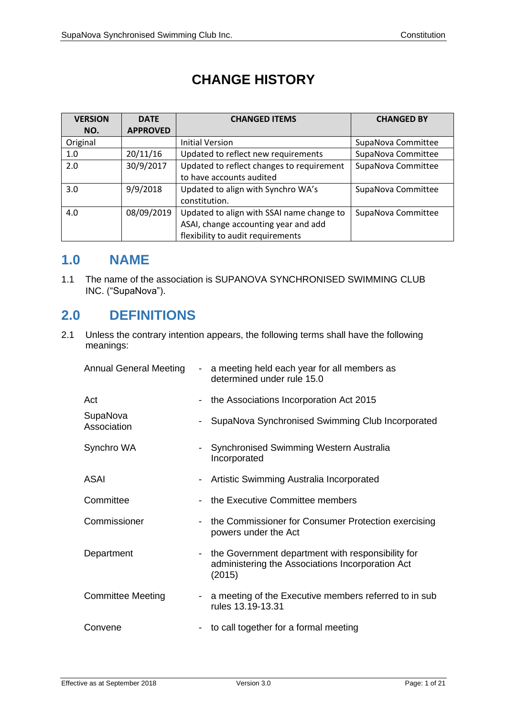# **CHANGE HISTORY**

| <b>VERSION</b>    | <b>DATE</b>     | <b>CHANGED ITEMS</b>                      | <b>CHANGED BY</b>  |  |
|-------------------|-----------------|-------------------------------------------|--------------------|--|
| NO.               | <b>APPROVED</b> |                                           |                    |  |
| Original          |                 | <b>Initial Version</b>                    | SupaNova Committee |  |
| 1.0               | 20/11/16        | Updated to reflect new requirements       | SupaNova Committee |  |
| 2.0               | 30/9/2017       | Updated to reflect changes to requirement | SupaNova Committee |  |
|                   |                 | to have accounts audited                  |                    |  |
| 3.0               | 9/9/2018        | Updated to align with Synchro WA's        | SupaNova Committee |  |
|                   |                 | constitution.                             |                    |  |
| 08/09/2019<br>4.0 |                 | Updated to align with SSAI name change to | SupaNova Committee |  |
|                   |                 | ASAI, change accounting year and add      |                    |  |
|                   |                 | flexibility to audit requirements         |                    |  |

### **1.0 NAME**

1.1 The name of the association is SUPANOVA SYNCHRONISED SWIMMING CLUB INC. ("SupaNova").

# **2.0 DEFINITIONS**

2.1 Unless the contrary intention appears, the following terms shall have the following meanings:

| <b>Annual General Meeting</b> | $\sim 100$               | a meeting held each year for all members as<br>determined under rule 15.0                                       |
|-------------------------------|--------------------------|-----------------------------------------------------------------------------------------------------------------|
| Act                           | $\overline{\phantom{a}}$ | the Associations Incorporation Act 2015                                                                         |
| SupaNova<br>Association       |                          | SupaNova Synchronised Swimming Club Incorporated                                                                |
| Synchro WA                    | $\blacksquare$           | Synchronised Swimming Western Australia<br>Incorporated                                                         |
| <b>ASAI</b>                   | -                        | Artistic Swimming Australia Incorporated                                                                        |
| Committee                     |                          | the Executive Committee members                                                                                 |
| Commissioner                  |                          | the Commissioner for Consumer Protection exercising<br>powers under the Act                                     |
| Department                    | $\overline{\phantom{a}}$ | the Government department with responsibility for<br>administering the Associations Incorporation Act<br>(2015) |
| <b>Committee Meeting</b>      | $\overline{\phantom{a}}$ | a meeting of the Executive members referred to in sub<br>rules 13.19-13.31                                      |
| Convene                       | $\sim$                   | to call together for a formal meeting                                                                           |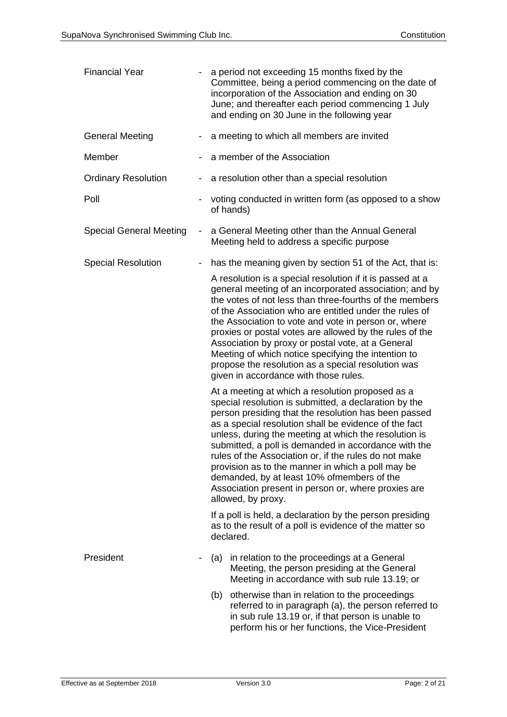| <b>Financial Year</b>           |                          | a period not exceeding 15 months fixed by the<br>Committee, being a period commencing on the date of<br>incorporation of the Association and ending on 30<br>June; and thereafter each period commencing 1 July<br>and ending on 30 June in the following year                                                                                                                                                                                                                                                                                                                       |
|---------------------------------|--------------------------|--------------------------------------------------------------------------------------------------------------------------------------------------------------------------------------------------------------------------------------------------------------------------------------------------------------------------------------------------------------------------------------------------------------------------------------------------------------------------------------------------------------------------------------------------------------------------------------|
| <b>General Meeting</b>          |                          | a meeting to which all members are invited                                                                                                                                                                                                                                                                                                                                                                                                                                                                                                                                           |
| Member                          |                          | a member of the Association                                                                                                                                                                                                                                                                                                                                                                                                                                                                                                                                                          |
| <b>Ordinary Resolution</b><br>- |                          | a resolution other than a special resolution                                                                                                                                                                                                                                                                                                                                                                                                                                                                                                                                         |
| Poll                            |                          | voting conducted in written form (as opposed to a show<br>of hands)                                                                                                                                                                                                                                                                                                                                                                                                                                                                                                                  |
| <b>Special General Meeting</b>  | $\sim$                   | a General Meeting other than the Annual General<br>Meeting held to address a specific purpose                                                                                                                                                                                                                                                                                                                                                                                                                                                                                        |
| <b>Special Resolution</b>       | $\overline{\phantom{a}}$ | has the meaning given by section 51 of the Act, that is:                                                                                                                                                                                                                                                                                                                                                                                                                                                                                                                             |
|                                 |                          | A resolution is a special resolution if it is passed at a<br>general meeting of an incorporated association; and by<br>the votes of not less than three-fourths of the members<br>of the Association who are entitled under the rules of<br>the Association to vote and vote in person or, where<br>proxies or postal votes are allowed by the rules of the<br>Association by proxy or postal vote, at a General<br>Meeting of which notice specifying the intention to<br>propose the resolution as a special resolution was<br>given in accordance with those rules.               |
|                                 |                          | At a meeting at which a resolution proposed as a<br>special resolution is submitted, a declaration by the<br>person presiding that the resolution has been passed<br>as a special resolution shall be evidence of the fact<br>unless, during the meeting at which the resolution is<br>submitted, a poll is demanded in accordance with the<br>rules of the Association or, if the rules do not make<br>provision as to the manner in which a poll may be<br>demanded, by at least 10% ofmembers of the<br>Association present in person or, where proxies are<br>allowed, by proxy. |
|                                 |                          | If a poll is held, a declaration by the person presiding<br>as to the result of a poll is evidence of the matter so<br>declared.                                                                                                                                                                                                                                                                                                                                                                                                                                                     |
| President                       | $\blacksquare$           | in relation to the proceedings at a General<br>(a)<br>Meeting, the person presiding at the General<br>Meeting in accordance with sub rule 13.19; or                                                                                                                                                                                                                                                                                                                                                                                                                                  |
|                                 |                          | (b) otherwise than in relation to the proceedings<br>referred to in paragraph (a), the person referred to<br>in sub rule 13.19 or, if that person is unable to<br>perform his or her functions, the Vice-President                                                                                                                                                                                                                                                                                                                                                                   |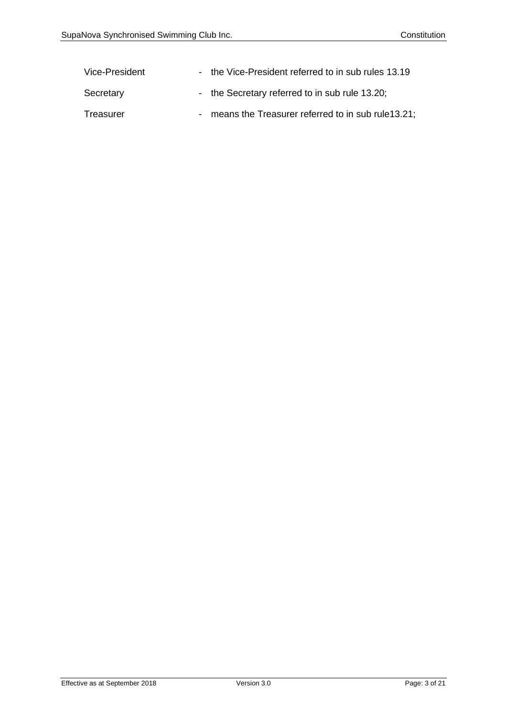| Vice-President | - the Vice-President referred to in sub rules 13.19  |
|----------------|------------------------------------------------------|
| Secretary      | - the Secretary referred to in sub rule 13.20;       |
| Treasurer      | - means the Treasurer referred to in sub rule 13.21; |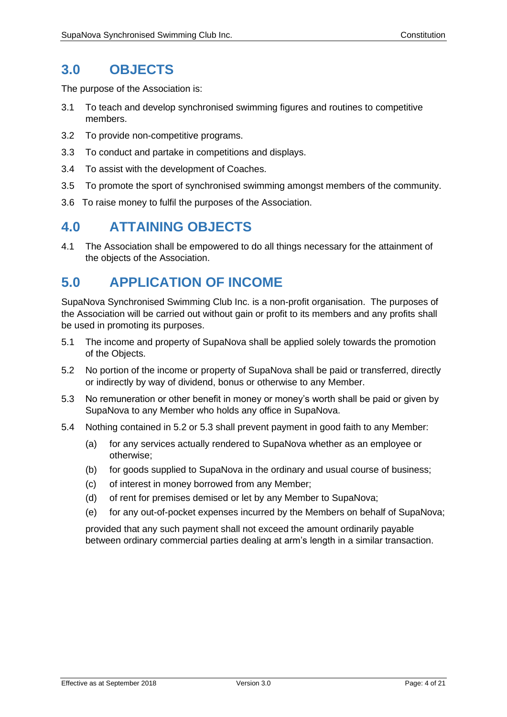## **3.0 OBJECTS**

The purpose of the Association is:

- 3.1 To teach and develop synchronised swimming figures and routines to competitive members.
- 3.2 To provide non-competitive programs.
- 3.3 To conduct and partake in competitions and displays.
- 3.4 To assist with the development of Coaches.
- 3.5 To promote the sport of synchronised swimming amongst members of the community.
- 3.6 To raise money to fulfil the purposes of the Association.

## **4.0 ATTAINING OBJECTS**

4.1 The Association shall be empowered to do all things necessary for the attainment of the objects of the Association.

# **5.0 APPLICATION OF INCOME**

SupaNova Synchronised Swimming Club Inc. is a non-profit organisation. The purposes of the Association will be carried out without gain or profit to its members and any profits shall be used in promoting its purposes.

- 5.1 The income and property of SupaNova shall be applied solely towards the promotion of the Objects.
- 5.2 No portion of the income or property of SupaNova shall be paid or transferred, directly or indirectly by way of dividend, bonus or otherwise to any Member.
- 5.3 No remuneration or other benefit in money or money's worth shall be paid or given by SupaNova to any Member who holds any office in SupaNova.
- 5.4 Nothing contained in 5.2 or 5.3 shall prevent payment in good faith to any Member:
	- (a) for any services actually rendered to SupaNova whether as an employee or otherwise;
	- (b) for goods supplied to SupaNova in the ordinary and usual course of business;
	- (c) of interest in money borrowed from any Member;
	- (d) of rent for premises demised or let by any Member to SupaNova;
	- (e) for any out-of-pocket expenses incurred by the Members on behalf of SupaNova;

provided that any such payment shall not exceed the amount ordinarily payable between ordinary commercial parties dealing at arm's length in a similar transaction.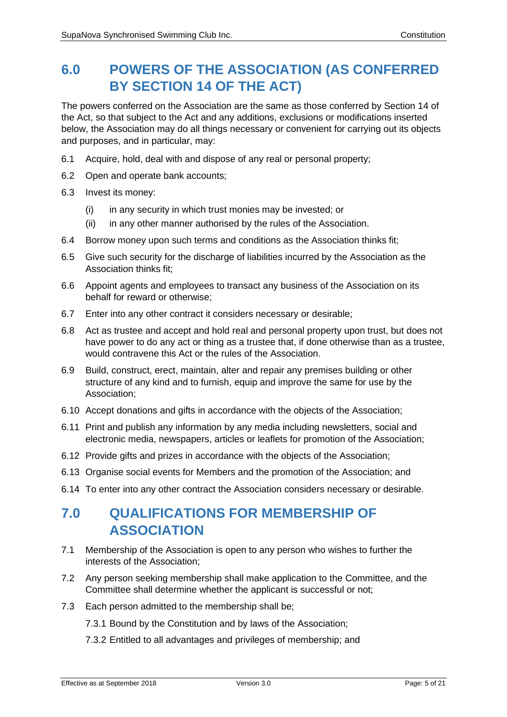# **6.0 POWERS OF THE ASSOCIATION (AS CONFERRED BY SECTION 14 OF THE ACT)**

The powers conferred on the Association are the same as those conferred by Section 14 of the Act, so that subject to the Act and any additions, exclusions or modifications inserted below, the Association may do all things necessary or convenient for carrying out its objects and purposes, and in particular, may:

- 6.1 Acquire, hold, deal with and dispose of any real or personal property;
- 6.2 Open and operate bank accounts;
- 6.3 Invest its money:
	- (i) in any security in which trust monies may be invested; or
	- (ii) in any other manner authorised by the rules of the Association.
- 6.4 Borrow money upon such terms and conditions as the Association thinks fit;
- 6.5 Give such security for the discharge of liabilities incurred by the Association as the Association thinks fit;
- 6.6 Appoint agents and employees to transact any business of the Association on its behalf for reward or otherwise;
- 6.7 Enter into any other contract it considers necessary or desirable;
- 6.8 Act as trustee and accept and hold real and personal property upon trust, but does not have power to do any act or thing as a trustee that, if done otherwise than as a trustee, would contravene this Act or the rules of the Association.
- 6.9 Build, construct, erect, maintain, alter and repair any premises building or other structure of any kind and to furnish, equip and improve the same for use by the Association;
- 6.10 Accept donations and gifts in accordance with the objects of the Association;
- 6.11 Print and publish any information by any media including newsletters, social and electronic media, newspapers, articles or leaflets for promotion of the Association;
- 6.12 Provide gifts and prizes in accordance with the objects of the Association;
- 6.13 Organise social events for Members and the promotion of the Association; and
- 6.14 To enter into any other contract the Association considers necessary or desirable.

# **7.0 QUALIFICATIONS FOR MEMBERSHIP OF ASSOCIATION**

- 7.1 Membership of the Association is open to any person who wishes to further the interests of the Association;
- 7.2 Any person seeking membership shall make application to the Committee, and the Committee shall determine whether the applicant is successful or not;
- 7.3 Each person admitted to the membership shall be;
	- 7.3.1 Bound by the Constitution and by laws of the Association;
	- 7.3.2 Entitled to all advantages and privileges of membership; and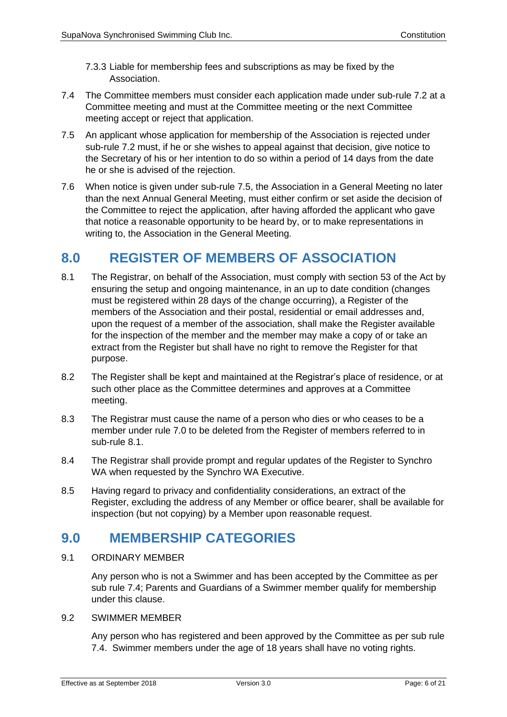- 7.3.3 Liable for membership fees and subscriptions as may be fixed by the Association.
- 7.4 The Committee members must consider each application made under sub-rule 7.2 at a Committee meeting and must at the Committee meeting or the next Committee meeting accept or reject that application.
- 7.5 An applicant whose application for membership of the Association is rejected under sub-rule 7.2 must, if he or she wishes to appeal against that decision, give notice to the Secretary of his or her intention to do so within a period of 14 days from the date he or she is advised of the rejection.
- 7.6 When notice is given under sub-rule 7.5, the Association in a General Meeting no later than the next Annual General Meeting, must either confirm or set aside the decision of the Committee to reject the application, after having afforded the applicant who gave that notice a reasonable opportunity to be heard by, or to make representations in writing to, the Association in the General Meeting.

# **8.0 REGISTER OF MEMBERS OF ASSOCIATION**

- 8.1 The Registrar, on behalf of the Association, must comply with section 53 of the Act by ensuring the setup and ongoing maintenance, in an up to date condition (changes must be registered within 28 days of the change occurring), a Register of the members of the Association and their postal, residential or email addresses and, upon the request of a member of the association, shall make the Register available for the inspection of the member and the member may make a copy of or take an extract from the Register but shall have no right to remove the Register for that purpose.
- 8.2 The Register shall be kept and maintained at the Registrar's place of residence, or at such other place as the Committee determines and approves at a Committee meeting.
- 8.3 The Registrar must cause the name of a person who dies or who ceases to be a member under rule 7.0 to be deleted from the Register of members referred to in sub-rule 8.1.
- 8.4 The Registrar shall provide prompt and regular updates of the Register to Synchro WA when requested by the Synchro WA Executive.
- 8.5 Having regard to privacy and confidentiality considerations, an extract of the Register, excluding the address of any Member or office bearer, shall be available for inspection (but not copying) by a Member upon reasonable request.

### **9.0 MEMBERSHIP CATEGORIES**

9.1 ORDINARY MEMBER

Any person who is not a Swimmer and has been accepted by the Committee as per sub rule 7.4; Parents and Guardians of a Swimmer member qualify for membership under this clause.

9.2 SWIMMER MEMBER

Any person who has registered and been approved by the Committee as per sub rule 7.4. Swimmer members under the age of 18 years shall have no voting rights.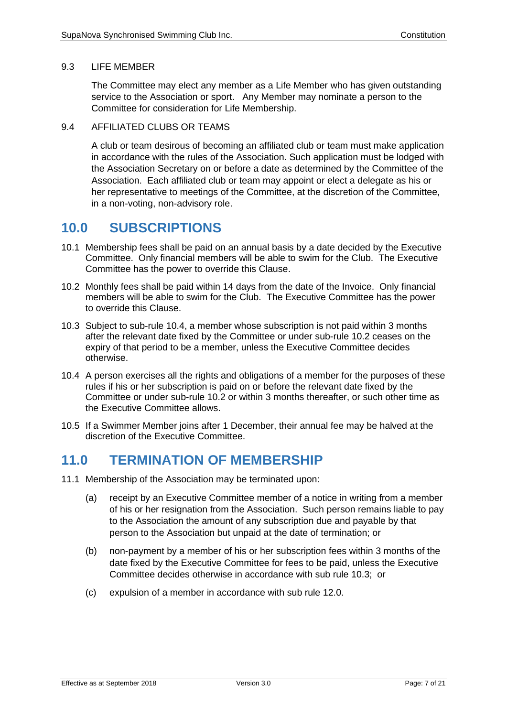#### 9.3 LIFE MEMBER

The Committee may elect any member as a Life Member who has given outstanding service to the Association or sport. Any Member may nominate a person to the Committee for consideration for Life Membership.

#### 9.4 AFFILIATED CLUBS OR TEAMS

A club or team desirous of becoming an affiliated club or team must make application in accordance with the rules of the Association. Such application must be lodged with the Association Secretary on or before a date as determined by the Committee of the Association. Each affiliated club or team may appoint or elect a delegate as his or her representative to meetings of the Committee, at the discretion of the Committee, in a non-voting, non-advisory role.

### **10.0 SUBSCRIPTIONS**

- 10.1 Membership fees shall be paid on an annual basis by a date decided by the Executive Committee. Only financial members will be able to swim for the Club. The Executive Committee has the power to override this Clause.
- 10.2 Monthly fees shall be paid within 14 days from the date of the Invoice. Only financial members will be able to swim for the Club. The Executive Committee has the power to override this Clause.
- 10.3 Subject to sub-rule 10.4, a member whose subscription is not paid within 3 months after the relevant date fixed by the Committee or under sub-rule 10.2 ceases on the expiry of that period to be a member, unless the Executive Committee decides otherwise.
- 10.4 A person exercises all the rights and obligations of a member for the purposes of these rules if his or her subscription is paid on or before the relevant date fixed by the Committee or under sub-rule 10.2 or within 3 months thereafter, or such other time as the Executive Committee allows.
- 10.5 If a Swimmer Member joins after 1 December, their annual fee may be halved at the discretion of the Executive Committee.

### **11.0 TERMINATION OF MEMBERSHIP**

- 11.1 Membership of the Association may be terminated upon:
	- (a) receipt by an Executive Committee member of a notice in writing from a member of his or her resignation from the Association. Such person remains liable to pay to the Association the amount of any subscription due and payable by that person to the Association but unpaid at the date of termination; or
	- (b) non-payment by a member of his or her subscription fees within 3 months of the date fixed by the Executive Committee for fees to be paid, unless the Executive Committee decides otherwise in accordance with sub rule 10.3; or
	- (c) expulsion of a member in accordance with sub rule 12.0.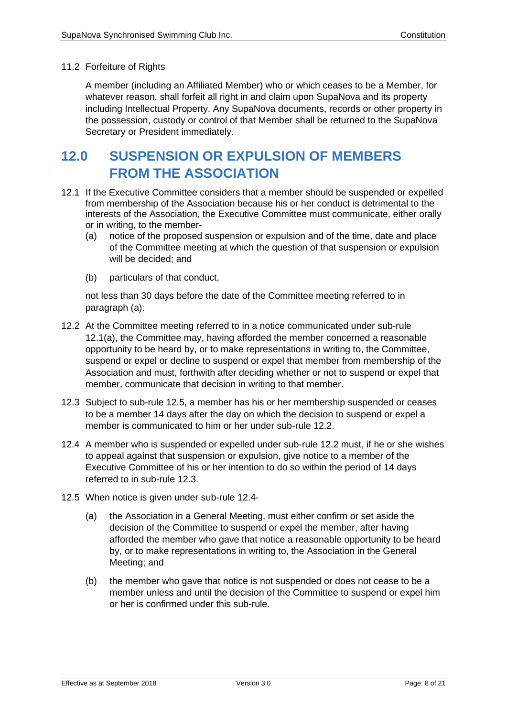#### 11.2 Forfeiture of Rights

A member (including an Affiliated Member) who or which ceases to be a Member, for whatever reason, shall forfeit all right in and claim upon SupaNova and its property including Intellectual Property. Any SupaNova documents, records or other property in the possession, custody or control of that Member shall be returned to the SupaNova Secretary or President immediately.

# **12.0 SUSPENSION OR EXPULSION OF MEMBERS FROM THE ASSOCIATION**

- 12.1 If the Executive Committee considers that a member should be suspended or expelled from membership of the Association because his or her conduct is detrimental to the interests of the Association, the Executive Committee must communicate, either orally or in writing, to the member-
	- (a) notice of the proposed suspension or expulsion and of the time, date and place of the Committee meeting at which the question of that suspension or expulsion will be decided; and
	- (b) particulars of that conduct,

not less than 30 days before the date of the Committee meeting referred to in paragraph (a).

- 12.2 At the Committee meeting referred to in a notice communicated under sub-rule 12.1(a), the Committee may, having afforded the member concerned a reasonable opportunity to be heard by, or to make representations in writing to, the Committee, suspend or expel or decline to suspend or expel that member from membership of the Association and must, forthwith after deciding whether or not to suspend or expel that member, communicate that decision in writing to that member.
- 12.3 Subject to sub-rule 12.5, a member has his or her membership suspended or ceases to be a member 14 days after the day on which the decision to suspend or expel a member is communicated to him or her under sub-rule 12.2.
- 12.4 A member who is suspended or expelled under sub-rule 12.2 must, if he or she wishes to appeal against that suspension or expulsion, give notice to a member of the Executive Committee of his or her intention to do so within the period of 14 days referred to in sub-rule 12.3.
- 12.5 When notice is given under sub-rule 12.4-
	- (a) the Association in a General Meeting, must either confirm or set aside the decision of the Committee to suspend or expel the member, after having afforded the member who gave that notice a reasonable opportunity to be heard by, or to make representations in writing to, the Association in the General Meeting; and
	- (b) the member who gave that notice is not suspended or does not cease to be a member unless and until the decision of the Committee to suspend or expel him or her is confirmed under this sub-rule.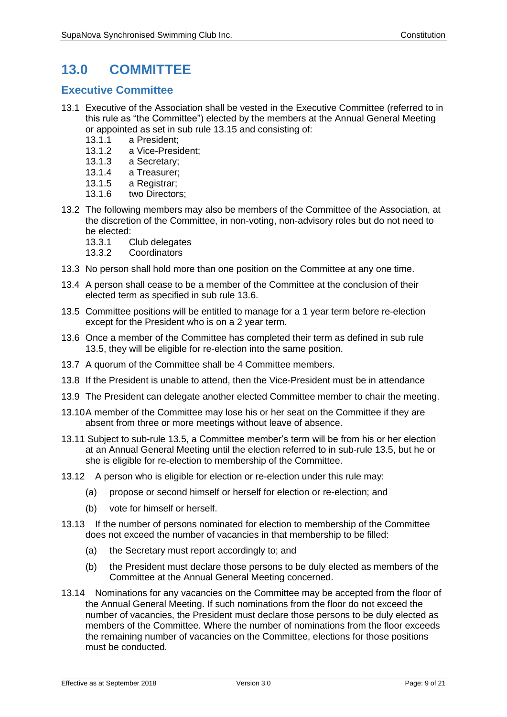# **13.0 COMMITTEE**

### **Executive Committee**

- 13.1 Executive of the Association shall be vested in the Executive Committee (referred to in this rule as "the Committee") elected by the members at the Annual General Meeting or appointed as set in sub rule 13.15 and consisting of:
	- 13.1.1 a President;
	- 13.1.2 a Vice-President;
	- 13.1.3 a Secretary;
	- 13.1.4 a Treasurer;
	- 13.1.5 a Registrar;
	- 13.1.6 two Directors;
- 13.2 The following members may also be members of the Committee of the Association, at the discretion of the Committee, in non-voting, non-advisory roles but do not need to be elected:
	- 13.3.1 Club delegates
	- 13.3.2 Coordinators
- 13.3 No person shall hold more than one position on the Committee at any one time.
- 13.4 A person shall cease to be a member of the Committee at the conclusion of their elected term as specified in sub rule 13.6.
- 13.5 Committee positions will be entitled to manage for a 1 year term before re-election except for the President who is on a 2 year term.
- 13.6 Once a member of the Committee has completed their term as defined in sub rule 13.5, they will be eligible for re-election into the same position.
- 13.7 A quorum of the Committee shall be 4 Committee members.
- 13.8 If the President is unable to attend, then the Vice-President must be in attendance
- 13.9 The President can delegate another elected Committee member to chair the meeting.
- 13.10A member of the Committee may lose his or her seat on the Committee if they are absent from three or more meetings without leave of absence.
- 13.11 Subject to sub-rule 13.5, a Committee member's term will be from his or her election at an Annual General Meeting until the election referred to in sub-rule 13.5, but he or she is eligible for re-election to membership of the Committee.
- 13.12 A person who is eligible for election or re-election under this rule may:
	- (a) propose or second himself or herself for election or re-election; and
	- (b) vote for himself or herself.
- 13.13 If the number of persons nominated for election to membership of the Committee does not exceed the number of vacancies in that membership to be filled:
	- (a) the Secretary must report accordingly to; and
	- (b) the President must declare those persons to be duly elected as members of the Committee at the Annual General Meeting concerned.
- 13.14 Nominations for any vacancies on the Committee may be accepted from the floor of the Annual General Meeting. If such nominations from the floor do not exceed the number of vacancies, the President must declare those persons to be duly elected as members of the Committee. Where the number of nominations from the floor exceeds the remaining number of vacancies on the Committee, elections for those positions must be conducted.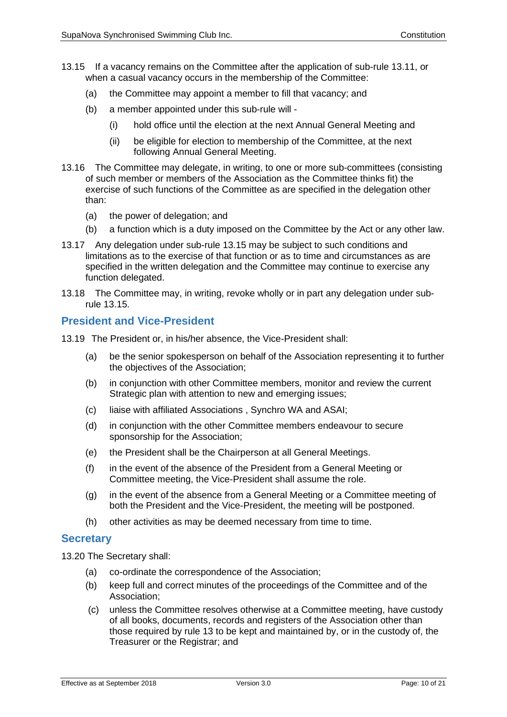- 13.15 If a vacancy remains on the Committee after the application of sub-rule 13.11, or when a casual vacancy occurs in the membership of the Committee:
	- (a) the Committee may appoint a member to fill that vacancy; and
	- (b) a member appointed under this sub-rule will
		- (i) hold office until the election at the next Annual General Meeting and
		- (ii) be eligible for election to membership of the Committee, at the next following Annual General Meeting.
- 13.16 The Committee may delegate, in writing, to one or more sub-committees (consisting of such member or members of the Association as the Committee thinks fit) the exercise of such functions of the Committee as are specified in the delegation other than:
	- (a) the power of delegation; and
	- (b) a function which is a duty imposed on the Committee by the Act or any other law.
- 13.17 Any delegation under sub-rule 13.15 may be subject to such conditions and limitations as to the exercise of that function or as to time and circumstances as are specified in the written delegation and the Committee may continue to exercise any function delegated.
- 13.18 The Committee may, in writing, revoke wholly or in part any delegation under subrule 13.15.

### **President and Vice-President**

13.19 The President or, in his/her absence, the Vice-President shall:

- (a) be the senior spokesperson on behalf of the Association representing it to further the objectives of the Association;
- (b) in conjunction with other Committee members, monitor and review the current Strategic plan with attention to new and emerging issues;
- (c) liaise with affiliated Associations , Synchro WA and ASAI;
- (d) in conjunction with the other Committee members endeavour to secure sponsorship for the Association;
- (e) the President shall be the Chairperson at all General Meetings.
- (f) in the event of the absence of the President from a General Meeting or Committee meeting, the Vice-President shall assume the role.
- (g) in the event of the absence from a General Meeting or a Committee meeting of both the President and the Vice-President, the meeting will be postponed.
- (h) other activities as may be deemed necessary from time to time.

#### **Secretary**

13.20 The Secretary shall:

- (a) co-ordinate the correspondence of the Association;
- (b) keep full and correct minutes of the proceedings of the Committee and of the Association;
- (c) unless the Committee resolves otherwise at a Committee meeting, have custody of all books, documents, records and registers of the Association other than those required by rule 13 to be kept and maintained by, or in the custody of, the Treasurer or the Registrar; and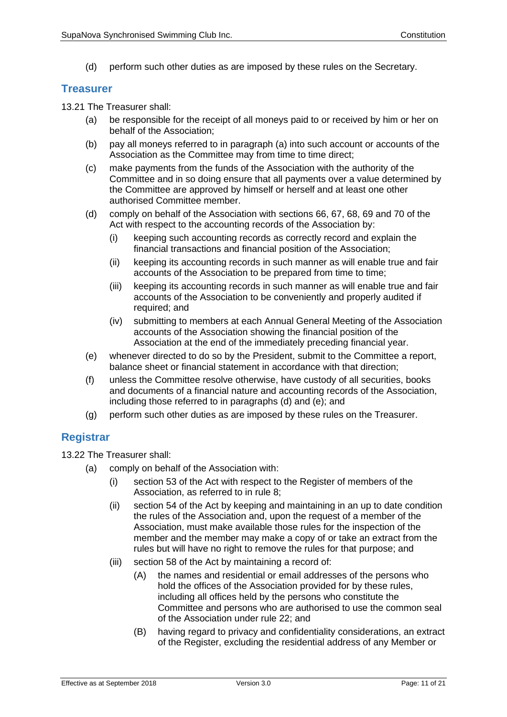(d) perform such other duties as are imposed by these rules on the Secretary.

#### **Treasurer**

13.21 The Treasurer shall:

- (a) be responsible for the receipt of all moneys paid to or received by him or her on behalf of the Association;
- (b) pay all moneys referred to in paragraph (a) into such account or accounts of the Association as the Committee may from time to time direct;
- (c) make payments from the funds of the Association with the authority of the Committee and in so doing ensure that all payments over a value determined by the Committee are approved by himself or herself and at least one other authorised Committee member.
- (d) comply on behalf of the Association with sections 66, 67, 68, 69 and 70 of the Act with respect to the accounting records of the Association by:
	- (i) keeping such accounting records as correctly record and explain the financial transactions and financial position of the Association;
	- (ii) keeping its accounting records in such manner as will enable true and fair accounts of the Association to be prepared from time to time;
	- (iii) keeping its accounting records in such manner as will enable true and fair accounts of the Association to be conveniently and properly audited if required; and
	- (iv) submitting to members at each Annual General Meeting of the Association accounts of the Association showing the financial position of the Association at the end of the immediately preceding financial year.
- (e) whenever directed to do so by the President, submit to the Committee a report, balance sheet or financial statement in accordance with that direction;
- (f) unless the Committee resolve otherwise, have custody of all securities, books and documents of a financial nature and accounting records of the Association, including those referred to in paragraphs (d) and (e); and
- (g) perform such other duties as are imposed by these rules on the Treasurer.

### **Registrar**

13.22 The Treasurer shall:

- (a) comply on behalf of the Association with:
	- (i) section 53 of the Act with respect to the Register of members of the Association, as referred to in rule 8;
	- (ii) section 54 of the Act by keeping and maintaining in an up to date condition the rules of the Association and, upon the request of a member of the Association, must make available those rules for the inspection of the member and the member may make a copy of or take an extract from the rules but will have no right to remove the rules for that purpose; and
	- (iii) section 58 of the Act by maintaining a record of:
		- (A) the names and residential or email addresses of the persons who hold the offices of the Association provided for by these rules, including all offices held by the persons who constitute the Committee and persons who are authorised to use the common seal of the Association under rule 22; and
		- (B) having regard to privacy and confidentiality considerations, an extract of the Register, excluding the residential address of any Member or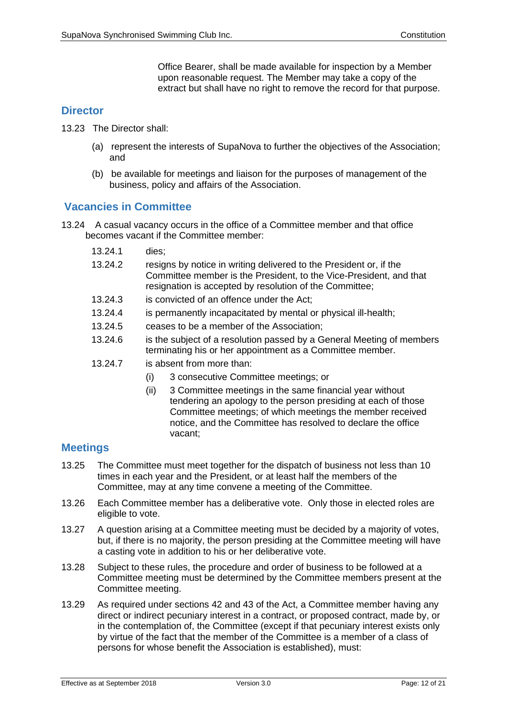Office Bearer, shall be made available for inspection by a Member upon reasonable request. The Member may take a copy of the extract but shall have no right to remove the record for that purpose.

### **Director**

- 13.23 The Director shall:
	- (a) represent the interests of SupaNova to further the objectives of the Association; and
	- (b) be available for meetings and liaison for the purposes of management of the business, policy and affairs of the Association.

### **Vacancies in Committee**

- 13.24 A casual vacancy occurs in the office of a Committee member and that office becomes vacant if the Committee member:
	- 13.24.1 dies;
	- 13.24.2 resigns by notice in writing delivered to the President or, if the Committee member is the President, to the Vice-President, and that resignation is accepted by resolution of the Committee;
	- 13.24.3 is convicted of an offence under the Act;
	- 13.24.4 is permanently incapacitated by mental or physical ill-health;
	- 13.24.5 ceases to be a member of the Association;
	- 13.24.6 is the subject of a resolution passed by a General Meeting of members terminating his or her appointment as a Committee member.
	- 13.24.7 is absent from more than:
		- (i) 3 consecutive Committee meetings; or
		- (ii) 3 Committee meetings in the same financial year without tendering an apology to the person presiding at each of those Committee meetings; of which meetings the member received notice, and the Committee has resolved to declare the office vacant;

### **Meetings**

- 13.25 The Committee must meet together for the dispatch of business not less than 10 times in each year and the President, or at least half the members of the Committee, may at any time convene a meeting of the Committee.
- 13.26 Each Committee member has a deliberative vote. Only those in elected roles are eligible to vote.
- 13.27 A question arising at a Committee meeting must be decided by a majority of votes, but, if there is no majority, the person presiding at the Committee meeting will have a casting vote in addition to his or her deliberative vote.
- 13.28 Subject to these rules, the procedure and order of business to be followed at a Committee meeting must be determined by the Committee members present at the Committee meeting.
- 13.29 As required under sections 42 and 43 of the Act, a Committee member having any direct or indirect pecuniary interest in a contract, or proposed contract, made by, or in the contemplation of, the Committee (except if that pecuniary interest exists only by virtue of the fact that the member of the Committee is a member of a class of persons for whose benefit the Association is established), must: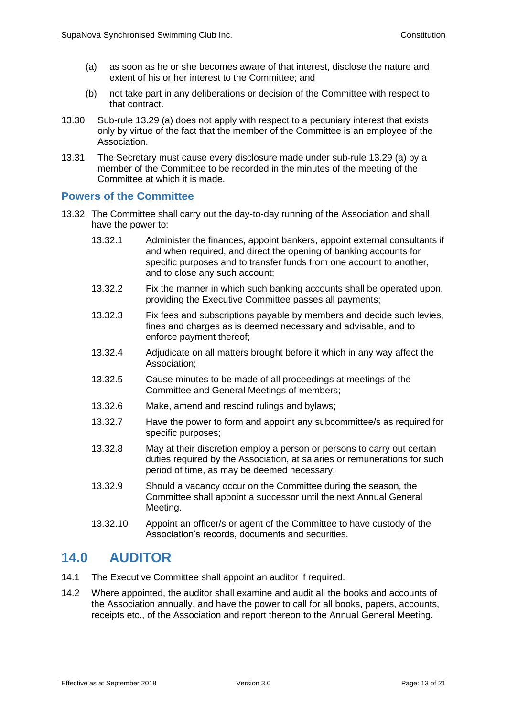- (a) as soon as he or she becomes aware of that interest, disclose the nature and extent of his or her interest to the Committee; and
- (b) not take part in any deliberations or decision of the Committee with respect to that contract.
- 13.30 Sub-rule 13.29 (a) does not apply with respect to a pecuniary interest that exists only by virtue of the fact that the member of the Committee is an employee of the Association.
- 13.31 The Secretary must cause every disclosure made under sub-rule 13.29 (a) by a member of the Committee to be recorded in the minutes of the meeting of the Committee at which it is made.

### **Powers of the Committee**

- 13.32 The Committee shall carry out the day-to-day running of the Association and shall have the power to:
	- 13.32.1 Administer the finances, appoint bankers, appoint external consultants if and when required, and direct the opening of banking accounts for specific purposes and to transfer funds from one account to another, and to close any such account;
	- 13.32.2 Fix the manner in which such banking accounts shall be operated upon, providing the Executive Committee passes all payments;
	- 13.32.3 Fix fees and subscriptions payable by members and decide such levies, fines and charges as is deemed necessary and advisable, and to enforce payment thereof;
	- 13.32.4 Adjudicate on all matters brought before it which in any way affect the Association;
	- 13.32.5 Cause minutes to be made of all proceedings at meetings of the Committee and General Meetings of members;
	- 13.32.6 Make, amend and rescind rulings and bylaws;
	- 13.32.7 Have the power to form and appoint any subcommittee/s as required for specific purposes;
	- 13.32.8 May at their discretion employ a person or persons to carry out certain duties required by the Association, at salaries or remunerations for such period of time, as may be deemed necessary;
	- 13.32.9 Should a vacancy occur on the Committee during the season, the Committee shall appoint a successor until the next Annual General Meeting.
	- 13.32.10 Appoint an officer/s or agent of the Committee to have custody of the Association's records, documents and securities.

### **14.0 AUDITOR**

- 14.1 The Executive Committee shall appoint an auditor if required.
- 14.2 Where appointed, the auditor shall examine and audit all the books and accounts of the Association annually, and have the power to call for all books, papers, accounts, receipts etc., of the Association and report thereon to the Annual General Meeting.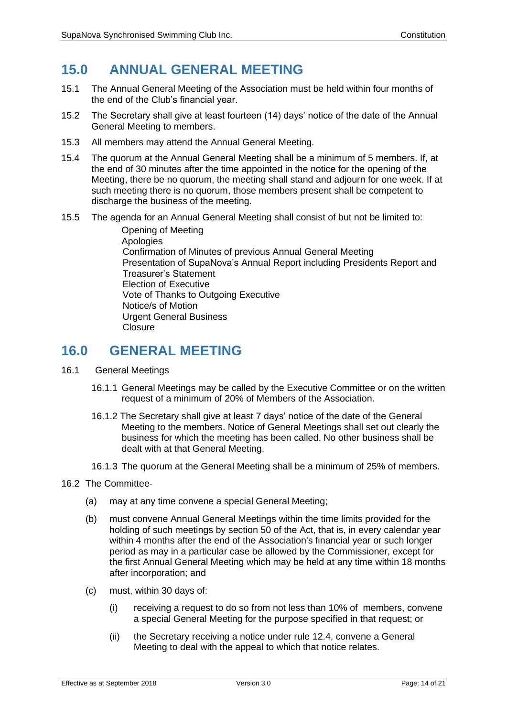## **15.0 ANNUAL GENERAL MEETING**

- 15.1 The Annual General Meeting of the Association must be held within four months of the end of the Club's financial year.
- 15.2 The Secretary shall give at least fourteen (14) days' notice of the date of the Annual General Meeting to members.
- 15.3 All members may attend the Annual General Meeting.
- 15.4 The quorum at the Annual General Meeting shall be a minimum of 5 members. If, at the end of 30 minutes after the time appointed in the notice for the opening of the Meeting, there be no quorum, the meeting shall stand and adjourn for one week. If at such meeting there is no quorum, those members present shall be competent to discharge the business of the meeting.
- 15.5 The agenda for an Annual General Meeting shall consist of but not be limited to:

Opening of Meeting **Apologies** Confirmation of Minutes of previous Annual General Meeting Presentation of SupaNova's Annual Report including Presidents Report and Treasurer's Statement Election of Executive Vote of Thanks to Outgoing Executive Notice/s of Motion Urgent General Business **Closure** 

### **16.0 GENERAL MEETING**

- 16.1 General Meetings
	- 16.1.1 General Meetings may be called by the Executive Committee or on the written request of a minimum of 20% of Members of the Association.
	- 16.1.2 The Secretary shall give at least 7 days' notice of the date of the General Meeting to the members. Notice of General Meetings shall set out clearly the business for which the meeting has been called. No other business shall be dealt with at that General Meeting.
	- 16.1.3 The quorum at the General Meeting shall be a minimum of 25% of members.

#### 16.2 The Committee-

- (a) may at any time convene a special General Meeting;
- (b) must convene Annual General Meetings within the time limits provided for the holding of such meetings by section 50 of the Act, that is, in every calendar year within 4 months after the end of the Association's financial year or such longer period as may in a particular case be allowed by the Commissioner, except for the first Annual General Meeting which may be held at any time within 18 months after incorporation; and
- (c) must, within 30 days of:
	- (i) receiving a request to do so from not less than 10% of members, convene a special General Meeting for the purpose specified in that request; or
	- (ii) the Secretary receiving a notice under rule 12.4, convene a General Meeting to deal with the appeal to which that notice relates.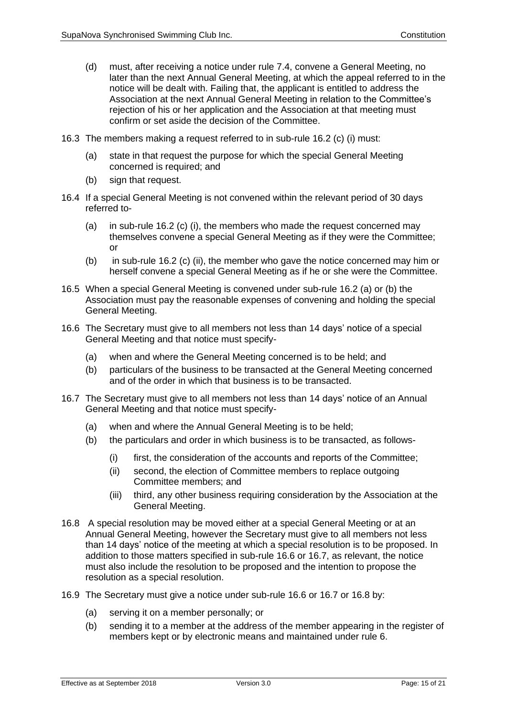- (d) must, after receiving a notice under rule 7.4, convene a General Meeting, no later than the next Annual General Meeting, at which the appeal referred to in the notice will be dealt with. Failing that, the applicant is entitled to address the Association at the next Annual General Meeting in relation to the Committee's rejection of his or her application and the Association at that meeting must confirm or set aside the decision of the Committee.
- 16.3 The members making a request referred to in sub-rule 16.2 (c) (i) must:
	- (a) state in that request the purpose for which the special General Meeting concerned is required; and
	- (b) sign that request.
- 16.4 If a special General Meeting is not convened within the relevant period of 30 days referred to-
	- (a) in sub-rule 16.2 (c) (i), the members who made the request concerned may themselves convene a special General Meeting as if they were the Committee; or
	- (b) in sub-rule 16.2 (c) (ii), the member who gave the notice concerned may him or herself convene a special General Meeting as if he or she were the Committee.
- 16.5 When a special General Meeting is convened under sub-rule 16.2 (a) or (b) the Association must pay the reasonable expenses of convening and holding the special General Meeting.
- 16.6 The Secretary must give to all members not less than 14 days' notice of a special General Meeting and that notice must specify-
	- (a) when and where the General Meeting concerned is to be held; and
	- (b) particulars of the business to be transacted at the General Meeting concerned and of the order in which that business is to be transacted.
- 16.7 The Secretary must give to all members not less than 14 days' notice of an Annual General Meeting and that notice must specify-
	- (a) when and where the Annual General Meeting is to be held;
	- (b) the particulars and order in which business is to be transacted, as follows-
		- (i) first, the consideration of the accounts and reports of the Committee;
		- (ii) second, the election of Committee members to replace outgoing Committee members; and
		- (iii) third, any other business requiring consideration by the Association at the General Meeting.
- 16.8 A special resolution may be moved either at a special General Meeting or at an Annual General Meeting, however the Secretary must give to all members not less than 14 days' notice of the meeting at which a special resolution is to be proposed. In addition to those matters specified in sub-rule 16.6 or 16.7, as relevant, the notice must also include the resolution to be proposed and the intention to propose the resolution as a special resolution.
- 16.9 The Secretary must give a notice under sub-rule 16.6 or 16.7 or 16.8 by:
	- (a) serving it on a member personally; or
	- (b) sending it to a member at the address of the member appearing in the register of members kept or by electronic means and maintained under rule 6.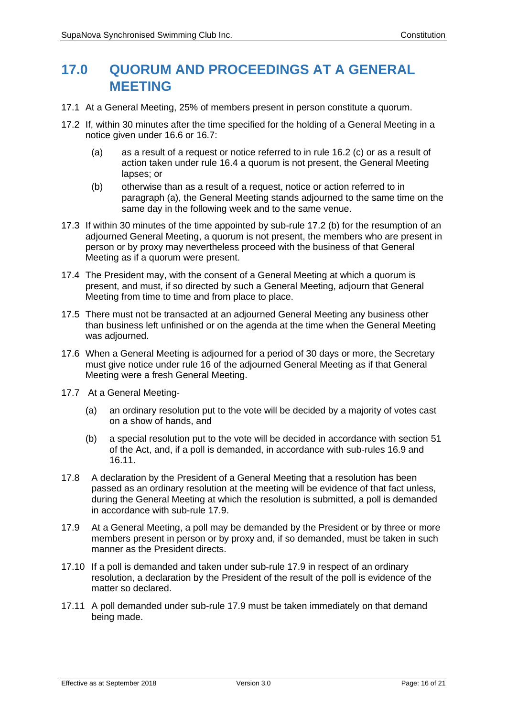# **17.0 QUORUM AND PROCEEDINGS AT A GENERAL MEETING**

- 17.1 At a General Meeting, 25% of members present in person constitute a quorum.
- 17.2 If, within 30 minutes after the time specified for the holding of a General Meeting in a notice given under 16.6 or 16.7:
	- (a) as a result of a request or notice referred to in rule 16.2 (c) or as a result of action taken under rule 16.4 a quorum is not present, the General Meeting lapses; or
	- (b) otherwise than as a result of a request, notice or action referred to in paragraph (a), the General Meeting stands adjourned to the same time on the same day in the following week and to the same venue.
- 17.3 If within 30 minutes of the time appointed by sub-rule 17.2 (b) for the resumption of an adjourned General Meeting, a quorum is not present, the members who are present in person or by proxy may nevertheless proceed with the business of that General Meeting as if a quorum were present.
- 17.4 The President may, with the consent of a General Meeting at which a quorum is present, and must, if so directed by such a General Meeting, adjourn that General Meeting from time to time and from place to place.
- 17.5 There must not be transacted at an adjourned General Meeting any business other than business left unfinished or on the agenda at the time when the General Meeting was adjourned.
- 17.6 When a General Meeting is adjourned for a period of 30 days or more, the Secretary must give notice under rule 16 of the adjourned General Meeting as if that General Meeting were a fresh General Meeting.
- 17.7 At a General Meeting-
	- (a) an ordinary resolution put to the vote will be decided by a majority of votes cast on a show of hands, and
	- (b) a special resolution put to the vote will be decided in accordance with section 51 of the Act, and, if a poll is demanded, in accordance with sub-rules 16.9 and 16.11.
- 17.8 A declaration by the President of a General Meeting that a resolution has been passed as an ordinary resolution at the meeting will be evidence of that fact unless, during the General Meeting at which the resolution is submitted, a poll is demanded in accordance with sub-rule 17.9.
- 17.9 At a General Meeting, a poll may be demanded by the President or by three or more members present in person or by proxy and, if so demanded, must be taken in such manner as the President directs.
- 17.10 If a poll is demanded and taken under sub-rule 17.9 in respect of an ordinary resolution, a declaration by the President of the result of the poll is evidence of the matter so declared.
- 17.11 A poll demanded under sub-rule 17.9 must be taken immediately on that demand being made.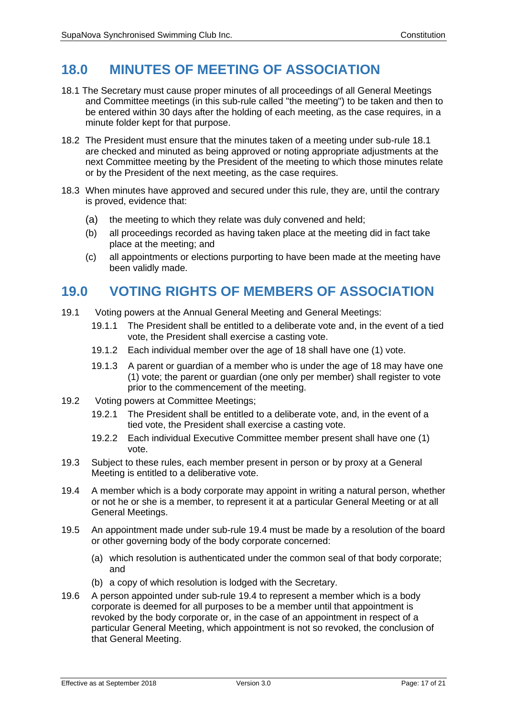# **18.0 MINUTES OF MEETING OF ASSOCIATION**

- 18.1 The Secretary must cause proper minutes of all proceedings of all General Meetings and Committee meetings (in this sub-rule called "the meeting") to be taken and then to be entered within 30 days after the holding of each meeting, as the case requires, in a minute folder kept for that purpose.
- 18.2 The President must ensure that the minutes taken of a meeting under sub-rule 18.1 are checked and minuted as being approved or noting appropriate adjustments at the next Committee meeting by the President of the meeting to which those minutes relate or by the President of the next meeting, as the case requires.
- 18.3 When minutes have approved and secured under this rule, they are, until the contrary is proved, evidence that:
	- (a) the meeting to which they relate was duly convened and held;
	- (b) all proceedings recorded as having taken place at the meeting did in fact take place at the meeting; and
	- (c) all appointments or elections purporting to have been made at the meeting have been validly made.

## **19.0 VOTING RIGHTS OF MEMBERS OF ASSOCIATION**

- 19.1 Voting powers at the Annual General Meeting and General Meetings:
	- 19.1.1 The President shall be entitled to a deliberate vote and, in the event of a tied vote, the President shall exercise a casting vote.
	- 19.1.2 Each individual member over the age of 18 shall have one (1) vote.
	- 19.1.3 A parent or guardian of a member who is under the age of 18 may have one (1) vote; the parent or guardian (one only per member) shall register to vote prior to the commencement of the meeting.
- 19.2 Voting powers at Committee Meetings;
	- 19.2.1 The President shall be entitled to a deliberate vote, and, in the event of a tied vote, the President shall exercise a casting vote.
	- 19.2.2 Each individual Executive Committee member present shall have one (1) vote.
- 19.3 Subject to these rules, each member present in person or by proxy at a General Meeting is entitled to a deliberative vote.
- 19.4 A member which is a body corporate may appoint in writing a natural person, whether or not he or she is a member, to represent it at a particular General Meeting or at all General Meetings.
- 19.5 An appointment made under sub-rule 19.4 must be made by a resolution of the board or other governing body of the body corporate concerned:
	- (a) which resolution is authenticated under the common seal of that body corporate; and
	- (b) a copy of which resolution is lodged with the Secretary.
- 19.6 A person appointed under sub-rule 19.4 to represent a member which is a body corporate is deemed for all purposes to be a member until that appointment is revoked by the body corporate or, in the case of an appointment in respect of a particular General Meeting, which appointment is not so revoked, the conclusion of that General Meeting.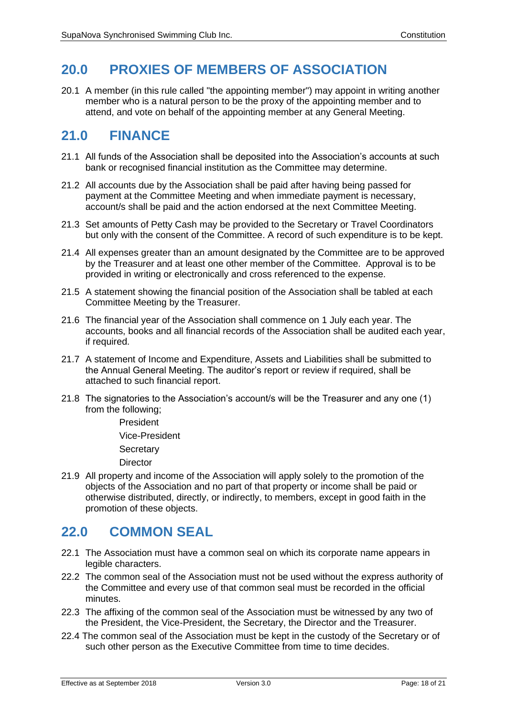# **20.0 PROXIES OF MEMBERS OF ASSOCIATION**

20.1 A member (in this rule called "the appointing member") may appoint in writing another member who is a natural person to be the proxy of the appointing member and to attend, and vote on behalf of the appointing member at any General Meeting.

### **21.0 FINANCE**

- 21.1 All funds of the Association shall be deposited into the Association's accounts at such bank or recognised financial institution as the Committee may determine.
- 21.2 All accounts due by the Association shall be paid after having being passed for payment at the Committee Meeting and when immediate payment is necessary, account/s shall be paid and the action endorsed at the next Committee Meeting.
- 21.3 Set amounts of Petty Cash may be provided to the Secretary or Travel Coordinators but only with the consent of the Committee. A record of such expenditure is to be kept.
- 21.4 All expenses greater than an amount designated by the Committee are to be approved by the Treasurer and at least one other member of the Committee. Approval is to be provided in writing or electronically and cross referenced to the expense.
- 21.5 A statement showing the financial position of the Association shall be tabled at each Committee Meeting by the Treasurer.
- 21.6 The financial year of the Association shall commence on 1 July each year. The accounts, books and all financial records of the Association shall be audited each year, if required.
- 21.7 A statement of Income and Expenditure, Assets and Liabilities shall be submitted to the Annual General Meeting. The auditor's report or review if required, shall be attached to such financial report.
- 21.8 The signatories to the Association's account/s will be the Treasurer and any one (1) from the following;

President Vice-President **Secretary Director** 

21.9 All property and income of the Association will apply solely to the promotion of the objects of the Association and no part of that property or income shall be paid or otherwise distributed, directly, or indirectly, to members, except in good faith in the promotion of these objects.

# **22.0 COMMON SEAL**

- 22.1 The Association must have a common seal on which its corporate name appears in legible characters.
- 22.2 The common seal of the Association must not be used without the express authority of the Committee and every use of that common seal must be recorded in the official minutes.
- 22.3 The affixing of the common seal of the Association must be witnessed by any two of the President, the Vice-President, the Secretary, the Director and the Treasurer.
- 22.4 The common seal of the Association must be kept in the custody of the Secretary or of such other person as the Executive Committee from time to time decides.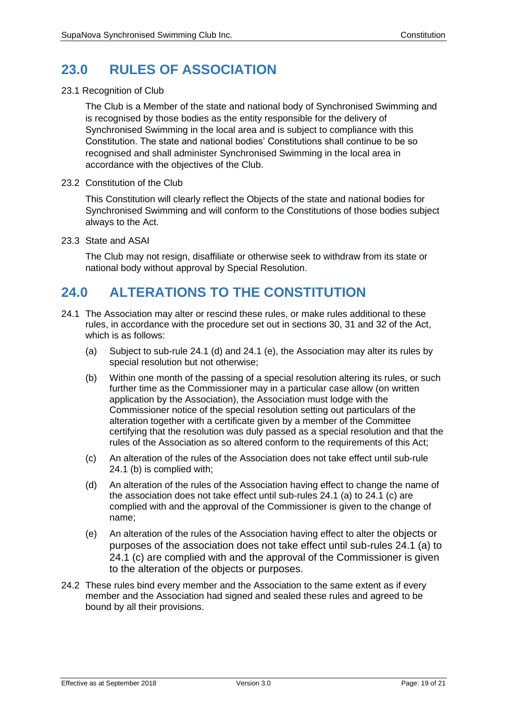# **23.0 RULES OF ASSOCIATION**

#### 23.1 Recognition of Club

The Club is a Member of the state and national body of Synchronised Swimming and is recognised by those bodies as the entity responsible for the delivery of Synchronised Swimming in the local area and is subject to compliance with this Constitution. The state and national bodies' Constitutions shall continue to be so recognised and shall administer Synchronised Swimming in the local area in accordance with the objectives of the Club.

23.2 Constitution of the Club

This Constitution will clearly reflect the Objects of the state and national bodies for Synchronised Swimming and will conform to the Constitutions of those bodies subject always to the Act.

23.3 State and ASAI

The Club may not resign, disaffiliate or otherwise seek to withdraw from its state or national body without approval by Special Resolution.

# **24.0 ALTERATIONS TO THE CONSTITUTION**

- 24.1 The Association may alter or rescind these rules, or make rules additional to these rules, in accordance with the procedure set out in sections 30, 31 and 32 of the Act, which is as follows:
	- (a) Subject to sub-rule 24.1 (d) and 24.1 (e), the Association may alter its rules by special resolution but not otherwise;
	- (b) Within one month of the passing of a special resolution altering its rules, or such further time as the Commissioner may in a particular case allow (on written application by the Association), the Association must lodge with the Commissioner notice of the special resolution setting out particulars of the alteration together with a certificate given by a member of the Committee certifying that the resolution was duly passed as a special resolution and that the rules of the Association as so altered conform to the requirements of this Act;
	- (c) An alteration of the rules of the Association does not take effect until sub-rule 24.1 (b) is complied with;
	- (d) An alteration of the rules of the Association having effect to change the name of the association does not take effect until sub-rules 24.1 (a) to 24.1 (c) are complied with and the approval of the Commissioner is given to the change of name;
	- (e) An alteration of the rules of the Association having effect to alter the objects or purposes of the association does not take effect until sub-rules 24.1 (a) to 24.1 (c) are complied with and the approval of the Commissioner is given to the alteration of the objects or purposes.
- 24.2 These rules bind every member and the Association to the same extent as if every member and the Association had signed and sealed these rules and agreed to be bound by all their provisions.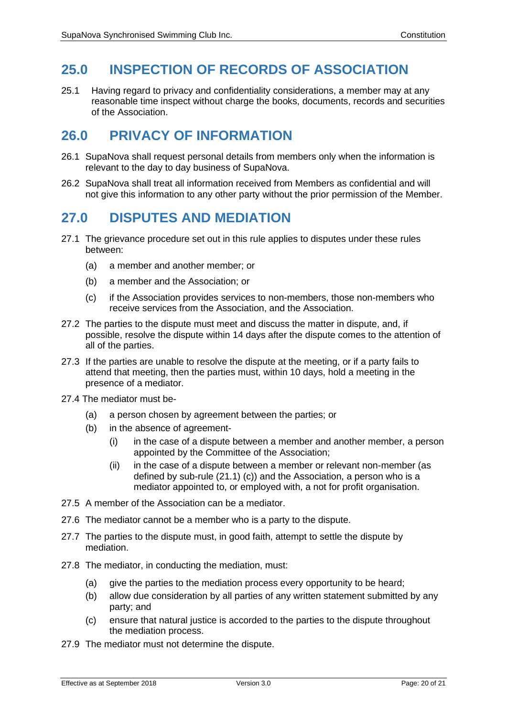# **25.0 INSPECTION OF RECORDS OF ASSOCIATION**

25.1 Having regard to privacy and confidentiality considerations, a member may at any reasonable time inspect without charge the books, documents, records and securities of the Association.

## **26.0 PRIVACY OF INFORMATION**

- 26.1 SupaNova shall request personal details from members only when the information is relevant to the day to day business of SupaNova.
- 26.2 SupaNova shall treat all information received from Members as confidential and will not give this information to any other party without the prior permission of the Member.

# **27.0 DISPUTES AND MEDIATION**

- 27.1 The grievance procedure set out in this rule applies to disputes under these rules between:
	- (a) a member and another member; or
	- (b) a member and the Association; or
	- (c) if the Association provides services to non-members, those non-members who receive services from the Association, and the Association.
- 27.2 The parties to the dispute must meet and discuss the matter in dispute, and, if possible, resolve the dispute within 14 days after the dispute comes to the attention of all of the parties.
- 27.3 If the parties are unable to resolve the dispute at the meeting, or if a party fails to attend that meeting, then the parties must, within 10 days, hold a meeting in the presence of a mediator.
- 27.4 The mediator must be-
	- (a) a person chosen by agreement between the parties; or
	- (b) in the absence of agreement-
		- (i) in the case of a dispute between a member and another member, a person appointed by the Committee of the Association;
		- (ii) in the case of a dispute between a member or relevant non-member (as defined by sub-rule (21.1) (c)) and the Association, a person who is a mediator appointed to, or employed with, a not for profit organisation.
- 27.5 A member of the Association can be a mediator.
- 27.6 The mediator cannot be a member who is a party to the dispute.
- 27.7 The parties to the dispute must, in good faith, attempt to settle the dispute by mediation.
- 27.8 The mediator, in conducting the mediation, must:
	- (a) give the parties to the mediation process every opportunity to be heard;
	- (b) allow due consideration by all parties of any written statement submitted by any party; and
	- (c) ensure that natural justice is accorded to the parties to the dispute throughout the mediation process.
- 27.9 The mediator must not determine the dispute.